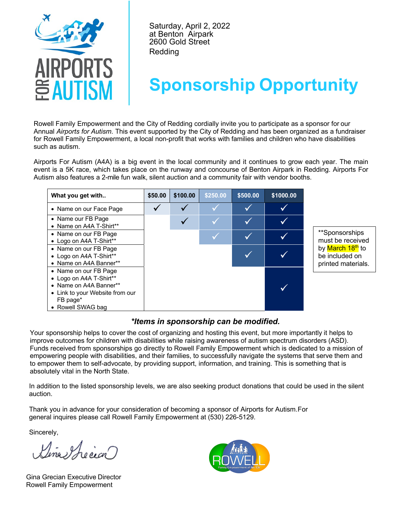

Saturday, April 2, 2022 at Benton Airpark 2600 Gold Street Redding

## **Sponsorship Opportunity**

Rowell Family Empowerment and the City of Redding cordially invite you to participate as a sponsor for our Annual *Airports for Autism*. This event supported by the City of Redding and has been organized as a fundraiser for Rowell Family Empowerment, a local non-profit that works with families and children who have disabilities such as autism.

Airports For Autism (A4A) is a big event in the local community and it continues to grow each year. The main event is a 5K race, which takes place on the runway and concourse of Benton Airpark in Redding. Airports For Autism also features a 2-mile fun walk, silent auction and a community fair with vendor booths.

| What you get with                                                                                                                              | \$50.00 | \$100.00 | \$250.00 | \$500.00 | \$1000.00 |                                                          |  |
|------------------------------------------------------------------------------------------------------------------------------------------------|---------|----------|----------|----------|-----------|----------------------------------------------------------|--|
| • Name on our Face Page                                                                                                                        |         |          |          |          |           |                                                          |  |
| • Name our FB Page<br>• Name on A4A T-Shirt**                                                                                                  |         |          |          |          |           |                                                          |  |
| • Name on our FB Page<br>• Logo on A4A T-Shirt**                                                                                               |         |          |          |          |           | **Sponsorships<br>must be received                       |  |
| • Name on our FB Page<br>• Logo on A4A T-Shirt**<br>• Name on A4A Banner**                                                                     |         |          |          |          |           | by March 18th to<br>be included on<br>printed materials. |  |
| • Name on our FB Page<br>• Logo on A4A T-Shirt**<br>• Name on A4A Banner**<br>• Link to your Website from our<br>FB page*<br>• Rowell SWAG bag |         |          |          |          |           |                                                          |  |

*\*Items in sponsorship can be modified.*

Your sponsorship helps to cover the cost of organizing and hosting this event, but more importantly it helps to improve outcomes for children with disabilities while raising awareness of autism spectrum disorders (ASD). Funds received from sponsorships go directly to Rowell Family Empowerment which is dedicated to a mission of empowering people with disabilities, and their families, to successfully navigate the systems that serve them and to empower them to self-advocate, by providing support, information, and training. This is something that is absolutely vital in the North State.

In addition to the listed sponsorship levels, we are also seeking product donations that could be used in the silent auction.

Thank you in advance for your consideration of becoming a sponsor of Airports for Autism.For general inquires please call Rowell Family Empowerment at (530) 226-5129.

Sincerely,

na schoavez

Gina Grecian Executive Director Rowell Family Empowerment

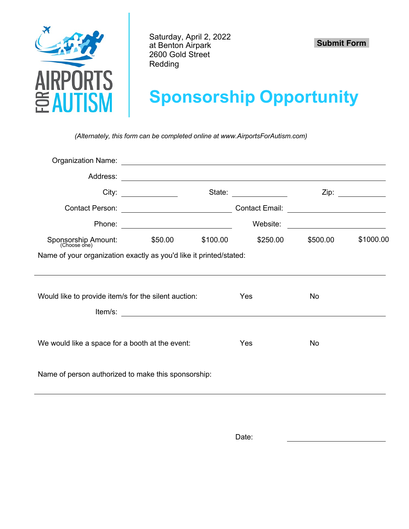

Saturday, April 2, 2022 at Benton Airpark 2600 Gold Street Redding

 **Submit Form**

## **Sponsorship Opportunity**

*(Alternately, this form can be completed online at www.AirportsForAutism.com)*

|                                                                    |                                                                                                                                                                                                                                    |          | State: $\frac{1}{\sqrt{1-\frac{1}{2}}}\frac{1}{\sqrt{1-\frac{1}{2}}\sqrt{1-\frac{1}{2}}\sqrt{1-\frac{1}{2}}\sqrt{1-\frac{1}{2}}\sqrt{1-\frac{1}{2}}\sqrt{1-\frac{1}{2}}\sqrt{1-\frac{1}{2}}\sqrt{1-\frac{1}{2}}\sqrt{1-\frac{1}{2}}\sqrt{1-\frac{1}{2}}\sqrt{1-\frac{1}{2}}\sqrt{1-\frac{1}{2}}\sqrt{1-\frac{1}{2}}\sqrt{1-\frac{1}{2}}\sqrt{1-\frac{1}{2}}\sqrt{1-\frac{1}{2}}\sqrt{1-\frac{1}{2}}\sqrt{1-\$ |                                               | Zip: ___________ |  |  |  |  |  |
|--------------------------------------------------------------------|------------------------------------------------------------------------------------------------------------------------------------------------------------------------------------------------------------------------------------|----------|---------------------------------------------------------------------------------------------------------------------------------------------------------------------------------------------------------------------------------------------------------------------------------------------------------------------------------------------------------------------------------------------------------------|-----------------------------------------------|------------------|--|--|--|--|--|
|                                                                    |                                                                                                                                                                                                                                    |          | Contact Email: ___________________________                                                                                                                                                                                                                                                                                                                                                                    |                                               |                  |  |  |  |  |  |
|                                                                    |                                                                                                                                                                                                                                    |          | Website:                                                                                                                                                                                                                                                                                                                                                                                                      | <u> 1980 - Andrea Andrew Maria (h. 1980).</u> |                  |  |  |  |  |  |
| Sponsorship Amount: \$50.00<br>(Choose one)                        |                                                                                                                                                                                                                                    | \$100.00 | \$250.00                                                                                                                                                                                                                                                                                                                                                                                                      | \$500.00                                      | \$1000.00        |  |  |  |  |  |
| Name of your organization exactly as you'd like it printed/stated: |                                                                                                                                                                                                                                    |          |                                                                                                                                                                                                                                                                                                                                                                                                               |                                               |                  |  |  |  |  |  |
|                                                                    |                                                                                                                                                                                                                                    |          |                                                                                                                                                                                                                                                                                                                                                                                                               |                                               |                  |  |  |  |  |  |
| Would like to provide item/s for the silent auction:               |                                                                                                                                                                                                                                    |          | Yes                                                                                                                                                                                                                                                                                                                                                                                                           | No                                            |                  |  |  |  |  |  |
|                                                                    |                                                                                                                                                                                                                                    |          |                                                                                                                                                                                                                                                                                                                                                                                                               |                                               |                  |  |  |  |  |  |
|                                                                    | <b>Item/s:</b> The contract of the contract of the contract of the contract of the contract of the contract of the contract of the contract of the contract of the contract of the contract of the contract of the contract of the |          |                                                                                                                                                                                                                                                                                                                                                                                                               |                                               |                  |  |  |  |  |  |
| We would like a space for a booth at the event:                    |                                                                                                                                                                                                                                    |          | Yes                                                                                                                                                                                                                                                                                                                                                                                                           | No                                            |                  |  |  |  |  |  |
| Name of person authorized to make this sponsorship:                |                                                                                                                                                                                                                                    |          |                                                                                                                                                                                                                                                                                                                                                                                                               |                                               |                  |  |  |  |  |  |
|                                                                    |                                                                                                                                                                                                                                    |          |                                                                                                                                                                                                                                                                                                                                                                                                               |                                               |                  |  |  |  |  |  |

Date: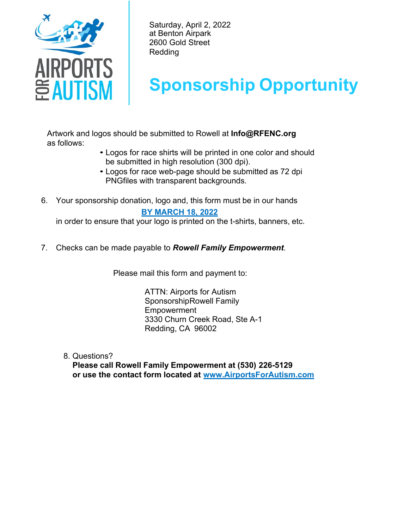

Saturday, April 2, 2022 at Benton Airpark 2600 Gold Street Redding

## **Sponsorship Opportunity**

Artwork and logos should be submitted to Rowell at **Info@RFENC.org** as follows:

- Logos for race shirts will be printed in one color and should be submitted in high resolution (300 dpi).
- Logos for race web-page should be submitted as 72 dpi PNGfiles with transparent backgrounds.
- 6. Your sponsorship donation, logo and, this form must be in our hands  **BY MARCH 18, 2022**

in order to ensure that your logo is printed on the t-shirts, banners, etc.

7. Checks can be made payable to *Rowell Family Empowerment*.

Please mail this form and payment to:

ATTN: Airports for Autism SponsorshipRowell Family Empowerment 3330 Churn Creek Road, Ste A-1 Redding, CA 96002

8. Questions?

**Please call Rowell Family Empowerment at (530) 226-5129 or use the contact form located at www.AirportsForAutism.com**